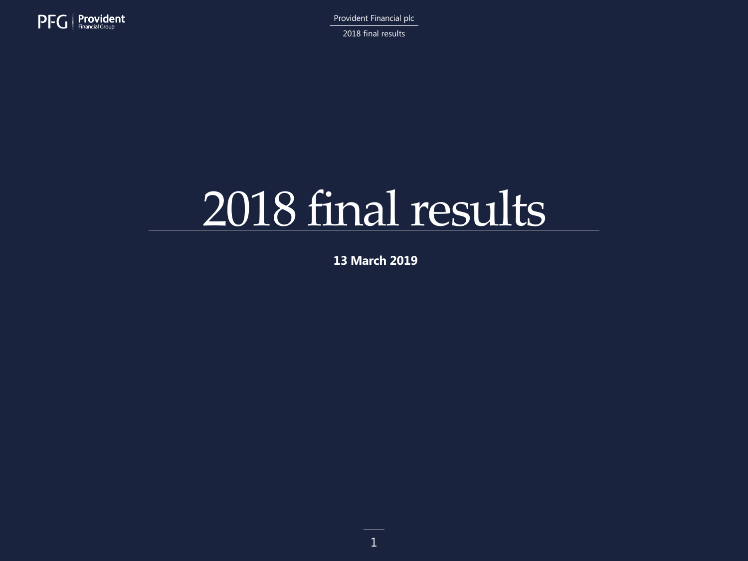

2018 final results

# 2018 final results

**13 March 2019**

1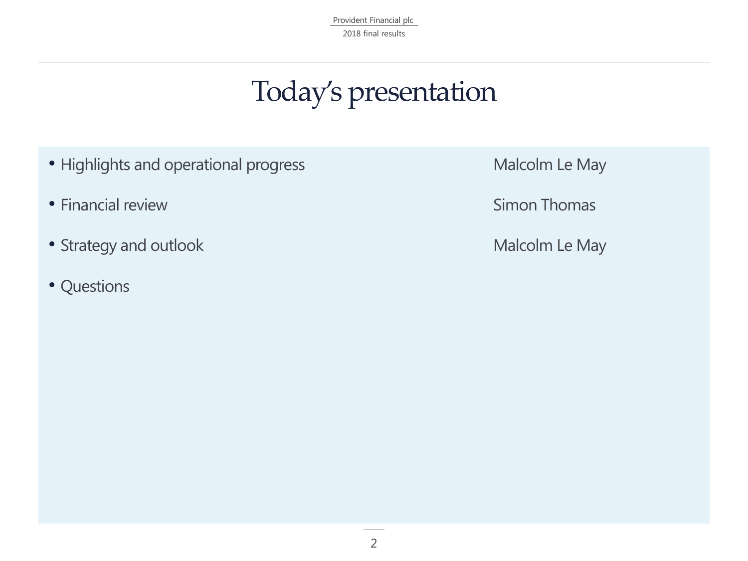Provident Financial plc 2018 final results

## Today's presentation

- Highlights and operational progress **Malcolm Le May**
- Financial review **Simon Thomas**
- Strategy and outlook **Malcolm Le May**
- Questions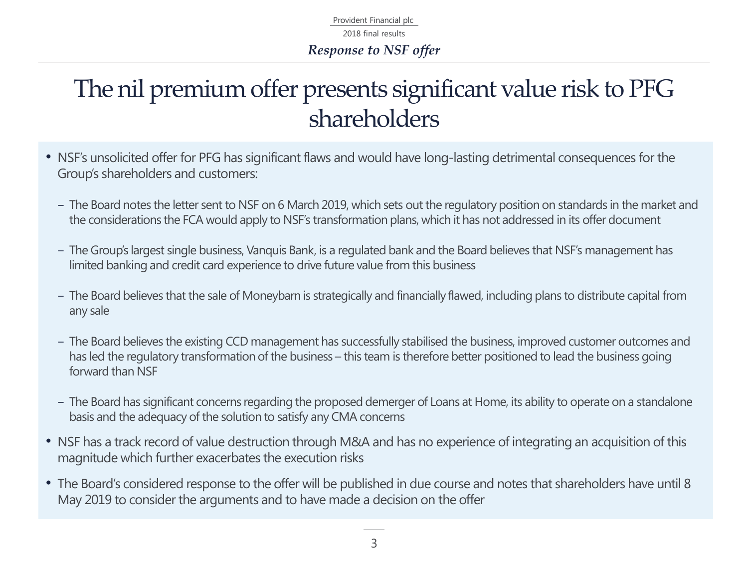Provident Financial plc 2018 final results *Response to NSF offer*

### The nil premium offer presents significant value risk to PFG shareholders

- NSF's unsolicited offer for PFG has significant flaws and would have long-lasting detrimental consequences for the Group's shareholders and customers:
	- ‒ The Board notes the letter sent to NSF on 6 March 2019, which sets out the regulatory position on standards in the market and the considerations the FCA would apply to NSF's transformation plans, which it has not addressed in its offer document
	- ‒ The Group's largest single business, Vanquis Bank, is a regulated bank and the Board believes that NSF's management has limited banking and credit card experience to drive future value from this business
	- ‒ The Board believes that the sale of Moneybarn is strategically and financially flawed, including plans to distribute capital from any sale
	- ‒ The Board believes the existing CCD management has successfully stabilised the business, improved customer outcomes and has led the regulatory transformation of the business – this team is therefore better positioned to lead the business going forward than NSF
	- ‒ The Board has significant concerns regarding the proposed demerger of Loans at Home, its ability to operate on a standalone basis and the adequacy of the solution to satisfy any CMA concerns
- NSF has a track record of value destruction through M&A and has no experience of integrating an acquisition of this magnitude which further exacerbates the execution risks
- The Board's considered response to the offer will be published in due course and notes that shareholders have until 8 May 2019 to consider the arguments and to have made a decision on the offer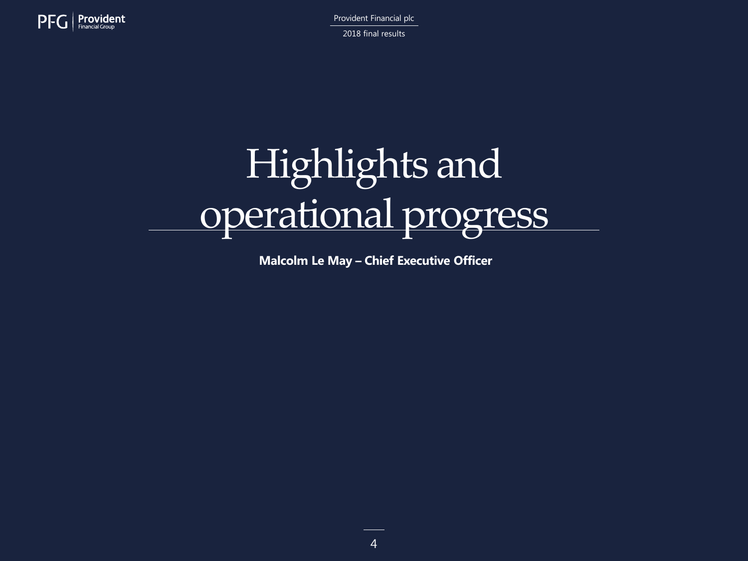

Provident Financial plc 2018 final results

# Highlights and operational progress

**Malcolm Le May – Chief Executive Officer**

4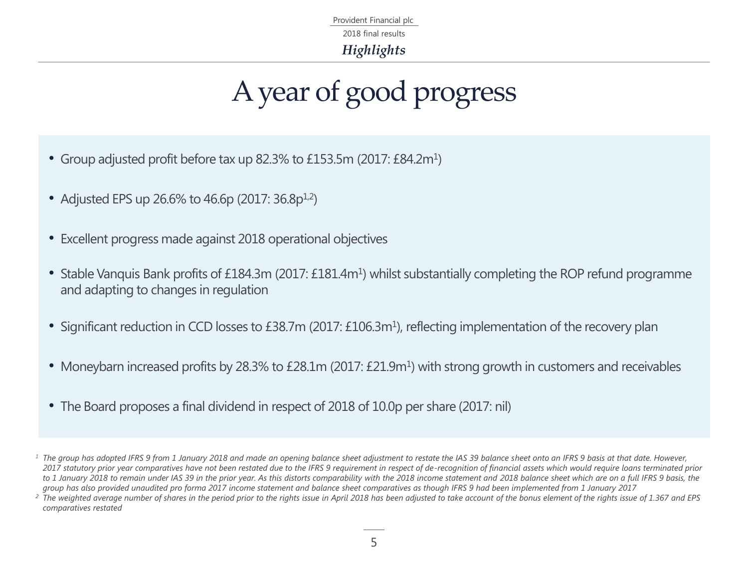Provident Financial plc *Highlights* 2018 final results

# A year of good progress

- Group adjusted profit before tax up 82.3% to £153.5m (2017: £84.2m<sup>1</sup>)
- Adjusted EPS up 26.6% to 46.6p (2017:  $36.8p^{1,2}$ )
- Excellent progress made against 2018 operational objectives
- Stable Vanquis Bank profits of £184.3m (2017: £181.4m<sup>1</sup>) whilst substantially completing the ROP refund programme and adapting to changes in regulation
- Significant reduction in CCD losses to £38.7m (2017: £106.3m<sup>1</sup>), reflecting implementation of the recovery plan
- Moneybarn increased profits by 28.3% to £28.1m (2017: £21.9m<sup>1</sup>) with strong growth in customers and receivables
- The Board proposes a final dividend in respect of 2018 of 10.0p per share (2017: nil)

<sup>&</sup>lt;sup>1</sup> The group has adopted IFRS 9 from 1 January 2018 and made an opening balance sheet adjustment to restate the IAS 39 balance sheet onto an IFRS 9 basis at that date. However, *2017 statutory prior year comparatives have not been restated due to the IFRS 9 requirement in respect of de-recognition of financial assets which would require loans terminated prior*  to 1 January 2018 to remain under IAS 39 in the prior year. As this distorts comparability with the 2018 income statement and 2018 balance sheet which are on a full IFRS 9 basis, the *group has also provided unaudited pro forma 2017 income statement and balance sheet comparatives as though IFRS 9 had been implemented from 1 January 2017*

*<sup>2</sup> The weighted average number of shares in the period prior to the rights issue in April 2018 has been adjusted to take account of the bonus element of the rights issue of 1.367 and EPS comparatives restated*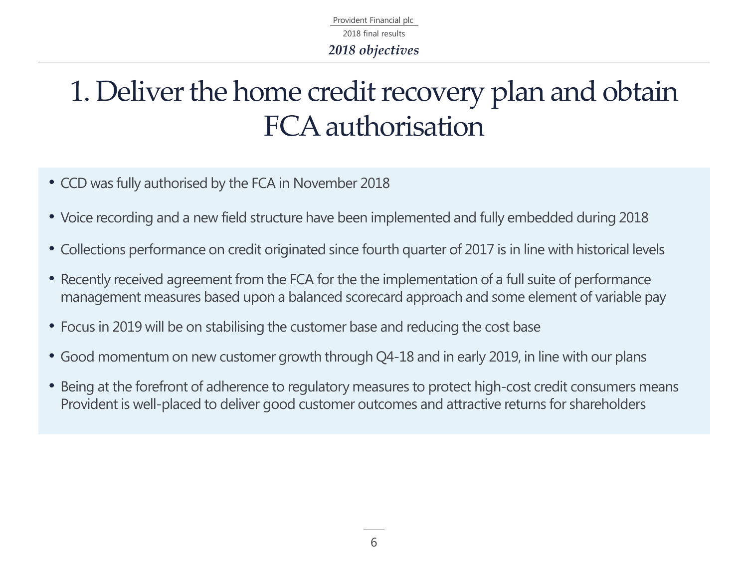Provident Financial plc *2018 objectives* 2018 final results

## 1. Deliver the home credit recovery plan and obtain FCA authorisation

- CCD was fully authorised by the FCA in November 2018
- Voice recording and a new field structure have been implemented and fully embedded during 2018
- Collections performance on credit originated since fourth quarter of 2017 is in line with historical levels
- Recently received agreement from the FCA for the the implementation of a full suite of performance management measures based upon a balanced scorecard approach and some element of variable pay
- Focus in 2019 will be on stabilising the customer base and reducing the cost base
- Good momentum on new customer growth through Q4-18 and in early 2019, in line with our plans
- Being at the forefront of adherence to regulatory measures to protect high-cost credit consumers means Provident is well-placed to deliver good customer outcomes and attractive returns for shareholders

6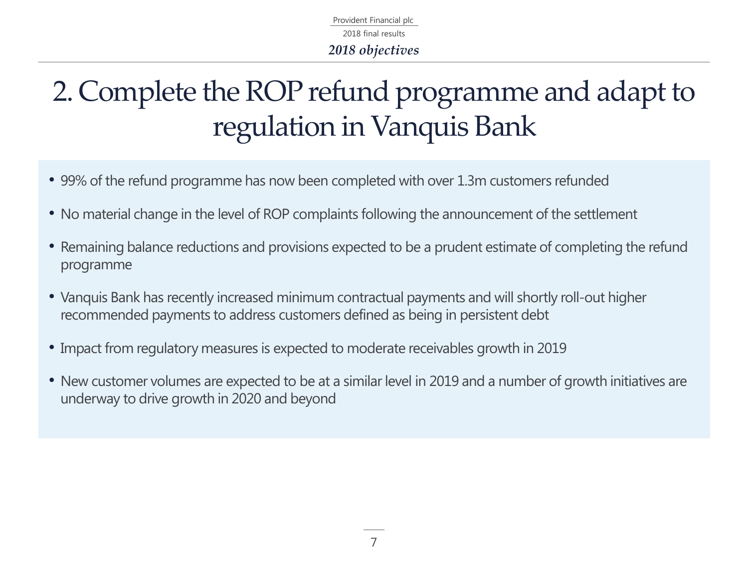Provident Financial plc *2018 objectives* 2018 final results

# 2. Complete the ROP refund programme and adapt to regulation in Vanquis Bank

- 99% of the refund programme has now been completed with over 1.3m customers refunded
- No material change in the level of ROP complaints following the announcement of the settlement
- Remaining balance reductions and provisions expected to be a prudent estimate of completing the refund programme
- Vanquis Bank has recently increased minimum contractual payments and will shortly roll-out higher recommended payments to address customers defined as being in persistent debt
- Impact from regulatory measures is expected to moderate receivables growth in 2019
- New customer volumes are expected to be at a similar level in 2019 and a number of growth initiatives are underway to drive growth in 2020 and beyond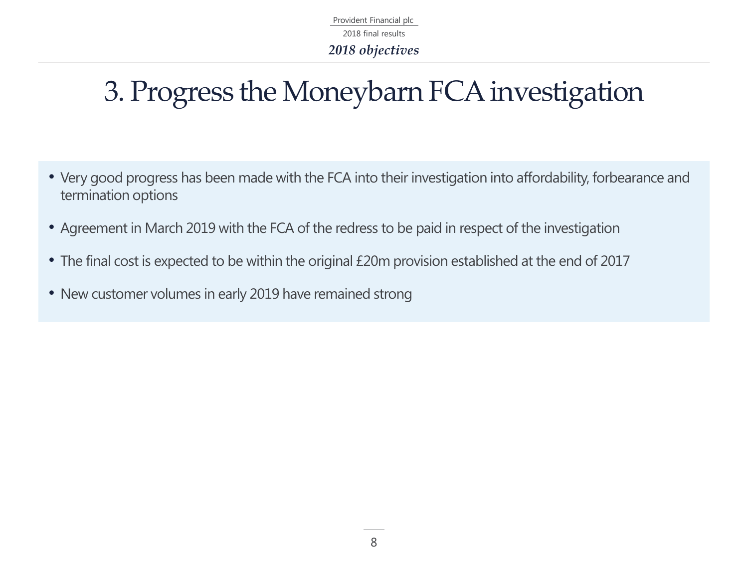Provident Financial plc 2018 final results *2018 objectives*

# 3. Progress the Moneybarn FCA investigation

- Very good progress has been made with the FCA into their investigation into affordability, forbearance and termination options
- Agreement in March 2019 with the FCA of the redress to be paid in respect of the investigation
- The final cost is expected to be within the original £20m provision established at the end of 2017
- New customer volumes in early 2019 have remained strong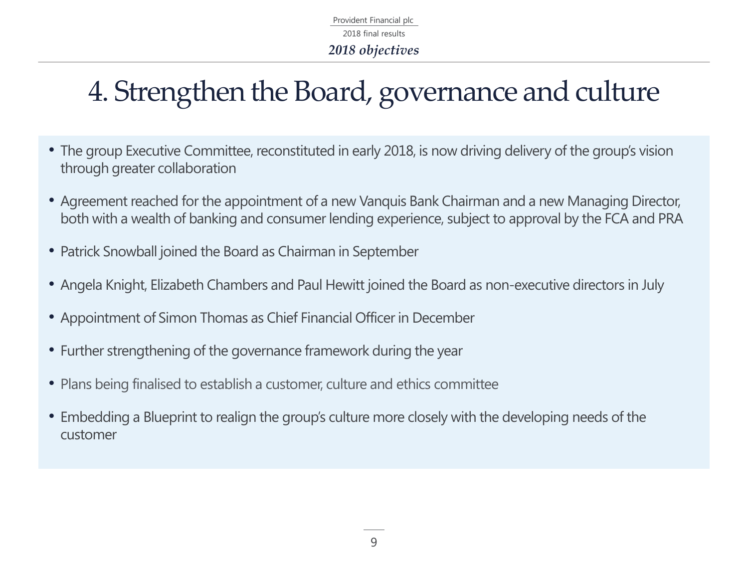Provident Financial plc 2018 final results *2018 objectives*

# 4. Strengthen the Board, governance and culture

- The group Executive Committee, reconstituted in early 2018, is now driving delivery of the group's vision through greater collaboration
- Agreement reached for the appointment of a new Vanquis Bank Chairman and a new Managing Director, both with a wealth of banking and consumer lending experience, subject to approval by the FCA and PRA
- Patrick Snowball joined the Board as Chairman in September
- Angela Knight, Elizabeth Chambers and Paul Hewitt joined the Board as non-executive directors in July
- Appointment of Simon Thomas as Chief Financial Officer in December
- Further strengthening of the governance framework during the year
- Plans being finalised to establish a customer, culture and ethics committee
- Embedding a Blueprint to realign the group's culture more closely with the developing needs of the customer

9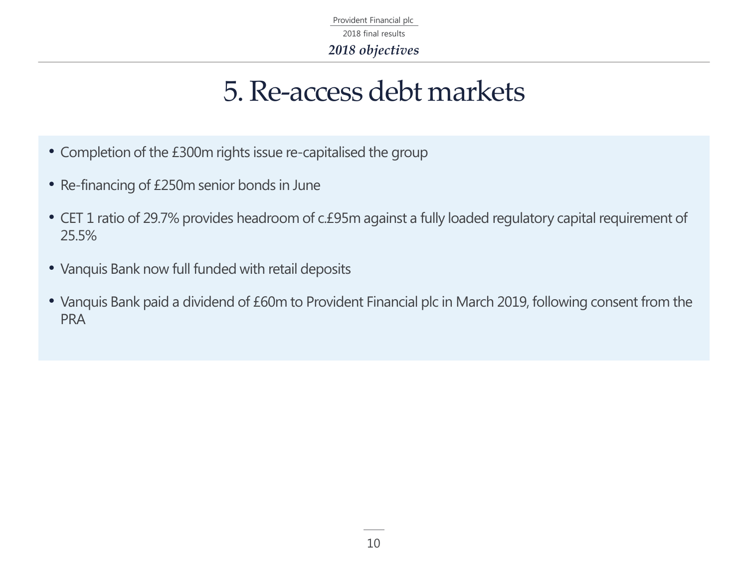Provident Financial plc 2018 final results *2018 objectives*

### 5. Re-access debt markets

- Completion of the £300m rights issue re-capitalised the group
- Re-financing of £250m senior bonds in June
- CET 1 ratio of 29.7% provides headroom of c.£95m against a fully loaded regulatory capital requirement of 25.5%
- Vanquis Bank now full funded with retail deposits
- Vanquis Bank paid a dividend of £60m to Provident Financial plc in March 2019, following consent from the PRA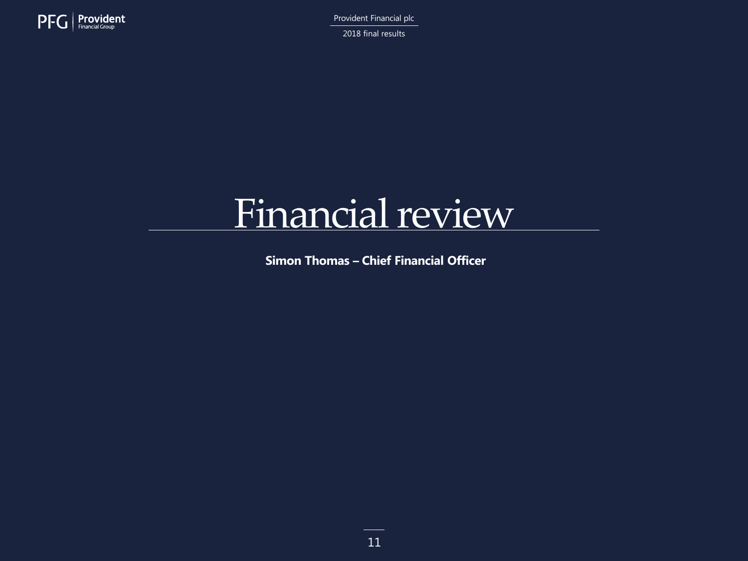

2018 final results

# Financial review

**Simon Thomas – Chief Financial Officer**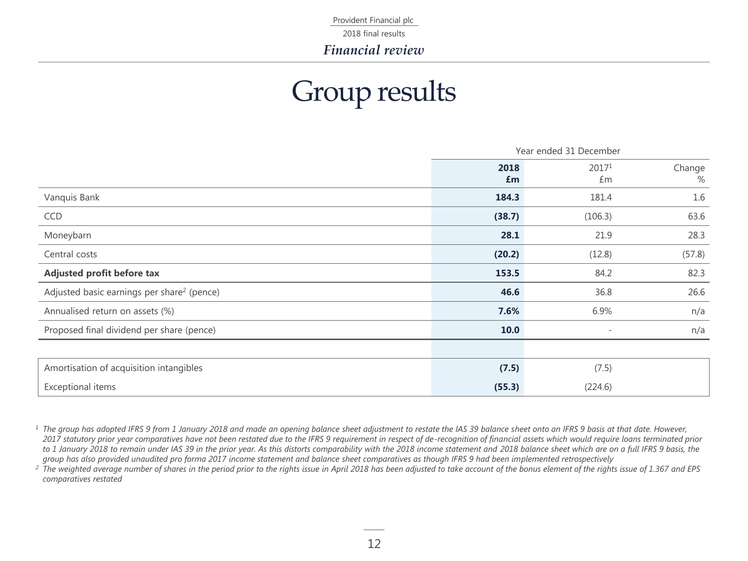2018 final results

*Financial review*

### Group results

|                                                        | Year ended 31 December |                          |             |
|--------------------------------------------------------|------------------------|--------------------------|-------------|
|                                                        | 2018<br>£m             | 20171<br>£m              | Change<br>% |
| Vanquis Bank                                           | 184.3                  | 181.4                    | 1.6         |
| CCD                                                    | (38.7)                 | (106.3)                  | 63.6        |
| Moneybarn                                              | 28.1                   | 21.9                     | 28.3        |
| Central costs                                          | (20.2)                 | (12.8)                   | (57.8)      |
| Adjusted profit before tax                             | 153.5                  | 84.2                     | 82.3        |
| Adjusted basic earnings per share <sup>2</sup> (pence) | 46.6                   | 36.8                     | 26.6        |
| Annualised return on assets (%)                        | 7.6%                   | 6.9%                     | n/a         |
| Proposed final dividend per share (pence)              | 10.0                   | $\overline{\phantom{a}}$ | n/a         |
|                                                        |                        |                          |             |
| Amortisation of acquisition intangibles                | (7.5)                  | (7.5)                    |             |
| Exceptional items                                      | (55.3)                 | (224.6)                  |             |

<sup>1</sup> The group has adopted IFRS 9 from 1 January 2018 and made an opening balance sheet adjustment to restate the IAS 39 balance sheet onto an IFRS 9 basis at that date. However, *2017 statutory prior year comparatives have not been restated due to the IFRS 9 requirement in respect of de-recognition of financial assets which would require loans terminated prior*  to 1 January 2018 to remain under IAS 39 in the prior year. As this distorts comparability with the 2018 income statement and 2018 balance sheet which are on a full IFRS 9 basis, the *group has also provided unaudited pro forma 2017 income statement and balance sheet comparatives as though IFRS 9 had been implemented retrospectively*

*<sup>2</sup> The weighted average number of shares in the period prior to the rights issue in April 2018 has been adjusted to take account of the bonus element of the rights issue of 1.367 and EPS comparatives restated*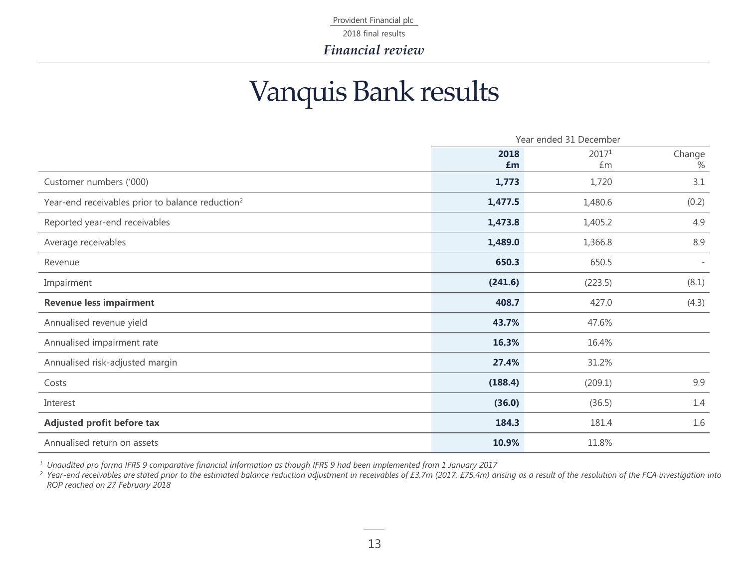2018 final results

*Financial review*

### Vanquis Bank results

|                                                              | Year ended 31 December |             |                          |
|--------------------------------------------------------------|------------------------|-------------|--------------------------|
|                                                              | 2018<br>£m             | 20171<br>Em | Change<br>$\%$           |
| Customer numbers ('000)                                      | 1,773                  | 1,720       | 3.1                      |
| Year-end receivables prior to balance reduction <sup>2</sup> | 1,477.5                | 1,480.6     | (0.2)                    |
| Reported year-end receivables                                | 1,473.8                | 1,405.2     | 4.9                      |
| Average receivables                                          | 1,489.0                | 1,366.8     | 8.9                      |
| Revenue                                                      | 650.3                  | 650.5       | $\overline{\phantom{a}}$ |
| Impairment                                                   | (241.6)                | (223.5)     | (8.1)                    |
| <b>Revenue less impairment</b>                               | 408.7                  | 427.0       | (4.3)                    |
| Annualised revenue yield                                     | 43.7%                  | 47.6%       |                          |
| Annualised impairment rate                                   | 16.3%                  | 16.4%       |                          |
| Annualised risk-adjusted margin                              | 27.4%                  | 31.2%       |                          |
| Costs                                                        | (188.4)                | (209.1)     | 9.9                      |
| Interest                                                     | (36.0)                 | (36.5)      | 1.4                      |
| Adjusted profit before tax                                   | 184.3                  | 181.4       | 1.6                      |
| Annualised return on assets                                  | 10.9%                  | 11.8%       |                          |

*<sup>1</sup> Unaudited pro forma IFRS 9 comparative financial information as though IFRS 9 had been implemented from 1 January 2017* 

*<sup>2</sup> Year-end receivables are stated prior to the estimated balance reduction adjustment in receivables of £3.7m (2017: £75.4m) arising as a result of the resolution of the FCA investigation into ROP reached on 27 February 2018*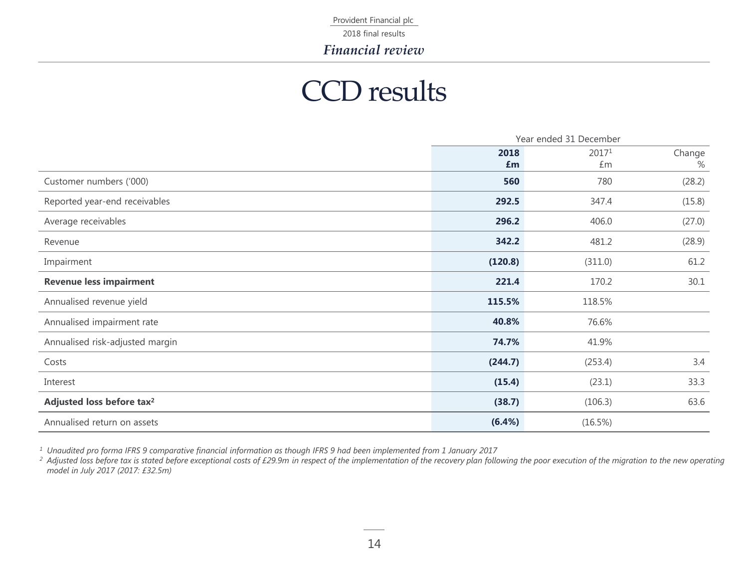2018 final results

*Financial review*

### CCD results

|                                       | Year ended 31 December |         |        |
|---------------------------------------|------------------------|---------|--------|
|                                       | 2018                   | 20171   | Change |
|                                       | £m                     | £m      | %      |
| Customer numbers ('000)               | 560                    | 780     | (28.2) |
| Reported year-end receivables         | 292.5                  | 347.4   | (15.8) |
| Average receivables                   | 296.2                  | 406.0   | (27.0) |
| Revenue                               | 342.2                  | 481.2   | (28.9) |
| Impairment                            | (120.8)                | (311.0) | 61.2   |
| <b>Revenue less impairment</b>        | 221.4                  | 170.2   | 30.1   |
| Annualised revenue yield              | 115.5%                 | 118.5%  |        |
| Annualised impairment rate            | 40.8%                  | 76.6%   |        |
| Annualised risk-adjusted margin       | 74.7%                  | 41.9%   |        |
| Costs                                 | (244.7)                | (253.4) | 3.4    |
| Interest                              | (15.4)                 | (23.1)  | 33.3   |
| Adjusted loss before tax <sup>2</sup> | (38.7)                 | (106.3) | 63.6   |
| Annualised return on assets           | (6.4%)                 | (16.5%) |        |

*<sup>1</sup> Unaudited pro forma IFRS 9 comparative financial information as though IFRS 9 had been implemented from 1 January 2017*

*<sup>2</sup> Adjusted loss before tax is stated before exceptional costs of £29.9m in respect of the implementation of the recovery plan following the poor execution of the migration to the new operating model in July 2017 (2017: £32.5m)*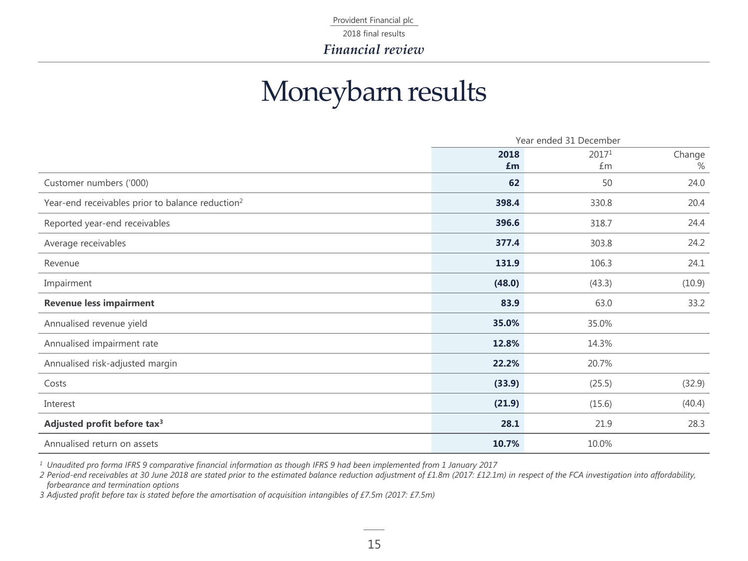### Moneybarn results

|                                                              | Year ended 31 December |        |        |
|--------------------------------------------------------------|------------------------|--------|--------|
|                                                              | 2018                   | 20171  | Change |
|                                                              | £m                     | £m     | $\%$   |
| Customer numbers ('000)                                      | 62                     | 50     | 24.0   |
| Year-end receivables prior to balance reduction <sup>2</sup> | 398.4                  | 330.8  | 20.4   |
| Reported year-end receivables                                | 396.6                  | 318.7  | 24.4   |
| Average receivables                                          | 377.4                  | 303.8  | 24.2   |
| Revenue                                                      | 131.9                  | 106.3  | 24.1   |
| Impairment                                                   | (48.0)                 | (43.3) | (10.9) |
| <b>Revenue less impairment</b>                               | 83.9                   | 63.0   | 33.2   |
| Annualised revenue yield                                     | 35.0%                  | 35.0%  |        |
| Annualised impairment rate                                   | 12.8%                  | 14.3%  |        |
| Annualised risk-adjusted margin                              | 22.2%                  | 20.7%  |        |
| Costs                                                        | (33.9)                 | (25.5) | (32.9) |
| Interest                                                     | (21.9)                 | (15.6) | (40.4) |
| Adjusted profit before tax <sup>3</sup>                      | 28.1                   | 21.9   | 28.3   |
| Annualised return on assets                                  | 10.7%                  | 10.0%  |        |

*<sup>1</sup> Unaudited pro forma IFRS 9 comparative financial information as though IFRS 9 had been implemented from 1 January 2017*

*2 Period-end receivables at 30 June 2018 are stated prior to the estimated balance reduction adjustment of £1.8m (2017: £12.1m) in respect of the FCA investigation into affordability, forbearance and termination options* 

*3 Adjusted profit before tax is stated before the amortisation of acquisition intangibles of £7.5m (2017: £7.5m)*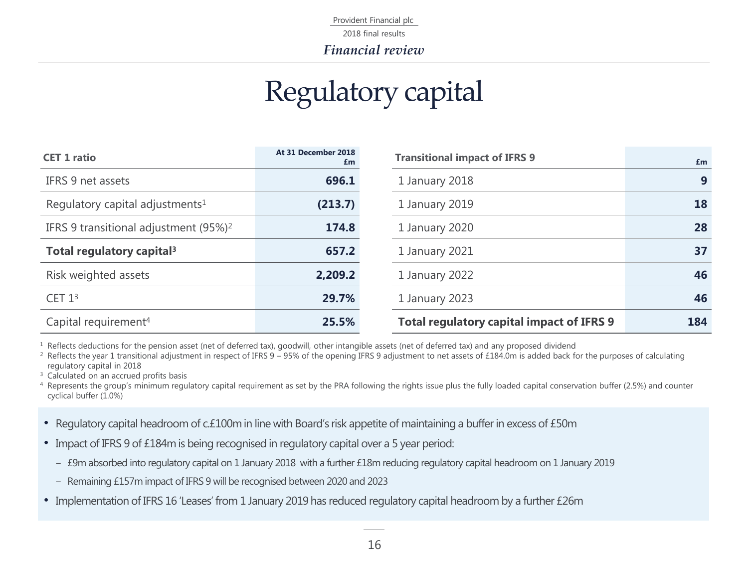### Regulatory capital

| <b>CET 1 ratio</b>                                | At 31 December 2018<br>£m | <b>Transitional impact of IFRS 9</b>             |                  |
|---------------------------------------------------|---------------------------|--------------------------------------------------|------------------|
| IFRS 9 net assets                                 | 696.1                     | 1 January 2018                                   | $\boldsymbol{9}$ |
| Regulatory capital adjustments <sup>1</sup>       | (213.7)                   | 1 January 2019                                   | 18               |
| IFRS 9 transitional adjustment (95%) <sup>2</sup> | 174.8                     | 1 January 2020                                   | 28               |
| Total regulatory capital <sup>3</sup>             | 657.2                     | 1 January 2021                                   | 37               |
| Risk weighted assets                              | 2,209.2                   | 1 January 2022                                   | 46               |
| CET 1 <sup>3</sup>                                | 29.7%                     | 1 January 2023                                   | 46               |
| Capital requirement <sup>4</sup>                  | 25.5%                     | <b>Total regulatory capital impact of IFRS 9</b> | 184              |

<sup>1</sup> Reflects deductions for the pension asset (net of deferred tax), goodwill, other intangible assets (net of deferred tax) and any proposed dividend

<sup>2</sup> Reflects the year 1 transitional adjustment in respect of IFRS 9 – 95% of the opening IFRS 9 adjustment to net assets of £184.0m is added back for the purposes of calculating regulatory capital in 2018

<sup>3</sup> Calculated on an accrued profits basis

<sup>4</sup> Represents the group's minimum regulatory capital requirement as set by the PRA following the rights issue plus the fully loaded capital conservation buffer (2.5%) and counter cyclical buffer (1.0%)

- Regulatory capital headroom of c.£100m in line with Board's risk appetite of maintaining a buffer in excess of £50m
- Impact of IFRS 9 of £184m is being recognised in regulatory capital over a 5 year period:
	- £9m absorbed into regulatory capital on 1 January 2018 with a further £18m reducing regulatory capital headroom on 1 January 2019
	- Remaining £157m impact of IFRS 9 will be recognised between 2020 and 2023
- Implementation of IFRS 16 'Leases' from 1 January 2019 has reduced regulatory capital headroom by a further £26m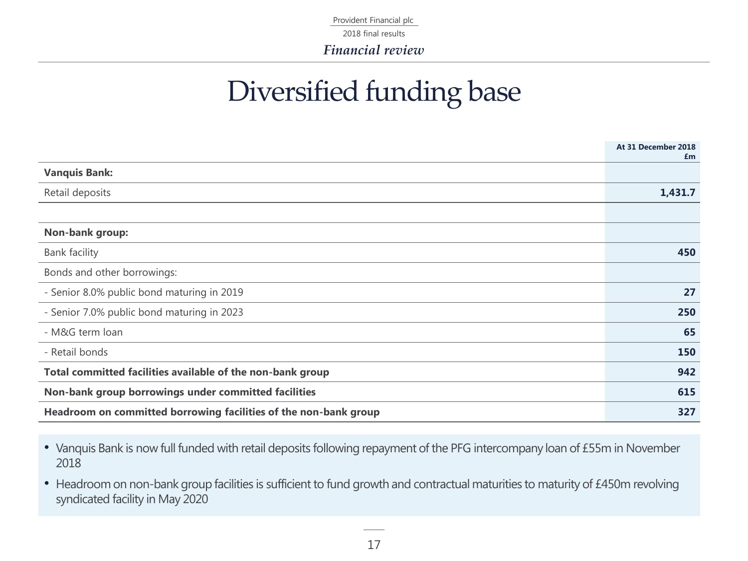Provident Financial plc 2018 final results

*Financial review*

### Diversified funding base

|                                                                  | At 31 December 2018<br>£m |
|------------------------------------------------------------------|---------------------------|
| <b>Vanquis Bank:</b>                                             |                           |
| Retail deposits                                                  | 1,431.7                   |
|                                                                  |                           |
| Non-bank group:                                                  |                           |
| <b>Bank facility</b>                                             | 450                       |
| Bonds and other borrowings:                                      |                           |
| - Senior 8.0% public bond maturing in 2019                       | 27                        |
| - Senior 7.0% public bond maturing in 2023                       | 250                       |
| - M&G term loan                                                  | 65                        |
| - Retail bonds                                                   | 150                       |
| Total committed facilities available of the non-bank group       | 942                       |
| Non-bank group borrowings under committed facilities             | 615                       |
| Headroom on committed borrowing facilities of the non-bank group | 327                       |

• Vanquis Bank is now full funded with retail deposits following repayment of the PFG intercompany loan of £55m in November 2018

• Headroom on non-bank group facilities is sufficient to fund growth and contractual maturities to maturity of £450m revolving syndicated facility in May 2020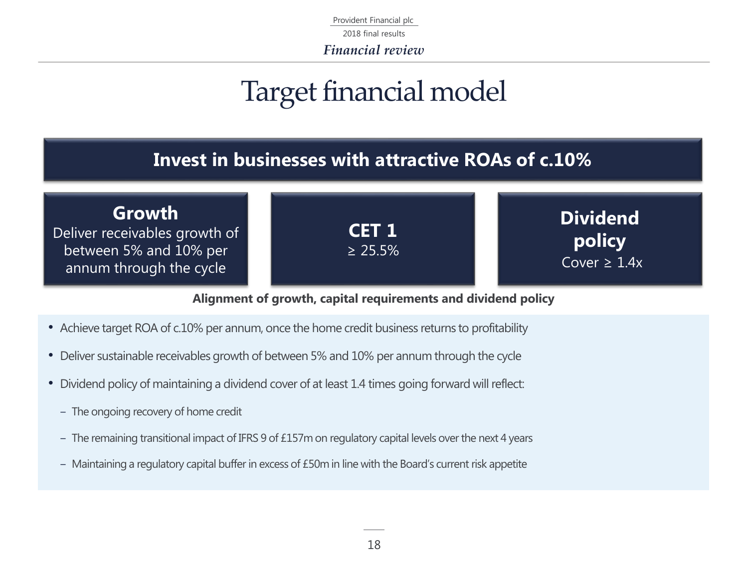Provident Financial plc *Financial review* 2018 final results

### Target financial model

### **Invest in businesses with attractive ROAs of c.10%**



### **Alignment of growth, capital requirements and dividend policy**

- Achieve target ROA of c.10% per annum, once the home credit business returns to profitability
- Deliver sustainable receivables growth of between 5% and 10% per annum through the cycle
- Dividend policy of maintaining a dividend cover of at least 1.4 times going forward will reflect:
	- The ongoing recovery of home credit
	- The remaining transitional impact of IFRS 9 of £157m on regulatory capital levels over the next 4 years
	- Maintaining a regulatory capital buffer in excess of £50m in line with the Board's current risk appetite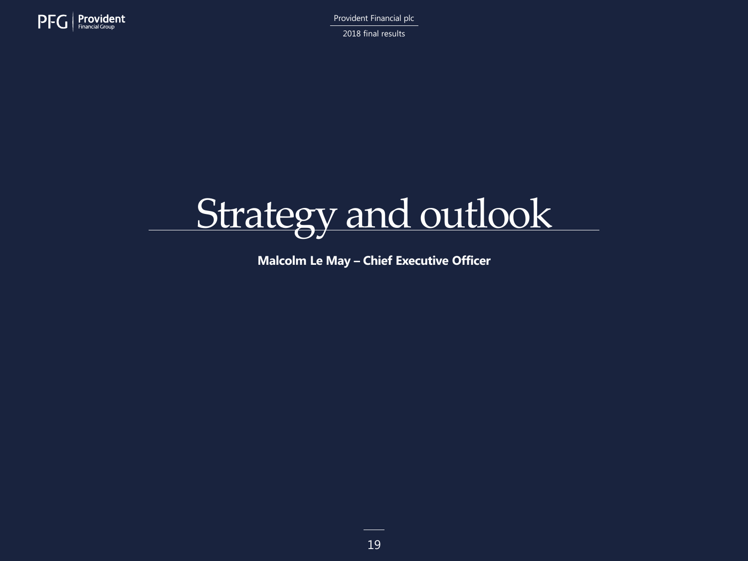

2018 final results



**Malcolm Le May – Chief Executive Officer**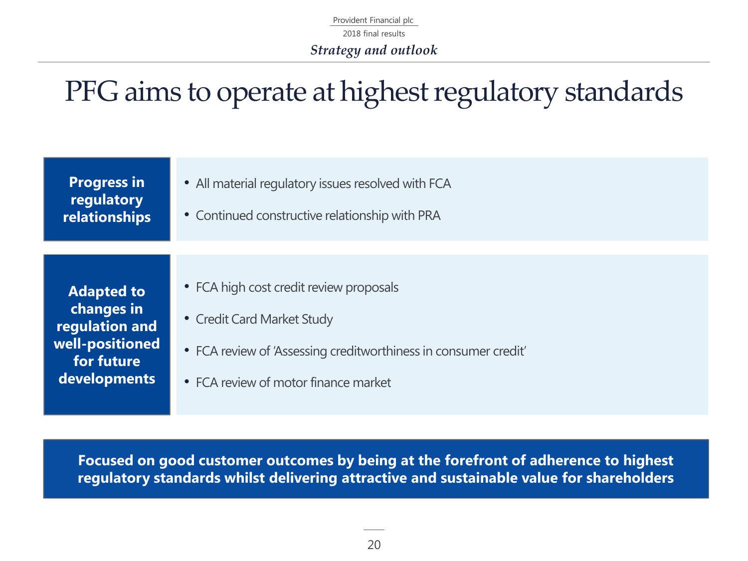Provident Financial plc 2018 final results *Strategy and outlook*

## PFG aims to operate at highest regulatory standards

| <b>Progress in</b><br>regulatory<br>relationships                                                  | • All material regulatory issues resolved with FCA<br>• Continued constructive relationship with PRA                                                                             |
|----------------------------------------------------------------------------------------------------|----------------------------------------------------------------------------------------------------------------------------------------------------------------------------------|
| <b>Adapted to</b><br>changes in<br>regulation and<br>well-positioned<br>for future<br>developments | • FCA high cost credit review proposals<br>• Credit Card Market Study<br>• FCA review of 'Assessing creditworthiness in consumer credit'<br>• FCA review of motor finance market |

**Focused on good customer outcomes by being at the forefront of adherence to highest regulatory standards whilst delivering attractive and sustainable value for shareholders**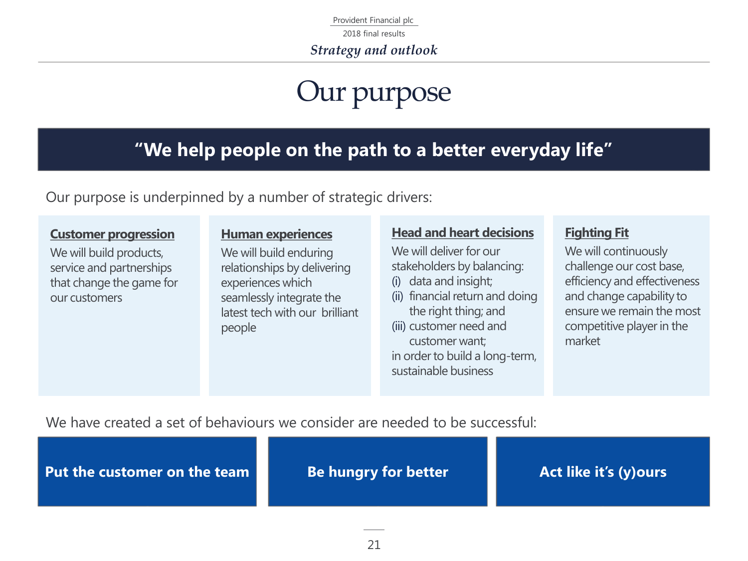Provident Financial plc 2018 final results

*Strategy and outlook*

### Our purpose

### **"We help people on the path to a better everyday life"**

Our purpose is underpinned by a number of strategic drivers:

### **Customer progression**

We will build products, service and partnerships that change the game for our customers

### **Human experiences**

We will build enduring relationships by delivering experiences which seamlessly integrate the latest tech with our brilliant people

### **Head and heart decisions**

We will deliver for our stakeholders by balancing:

- (i) data and insight;
- (ii) financial return and doing the right thing; and
- (iii) customer need and customer want; in order to build a long-term, sustainable business

### **Fighting Fit**

We will continuously challenge our cost base, efficiency and effectiveness and change capability to ensure we remain the most competitive player in the market

We have created a set of behaviours we consider are needed to be successful:

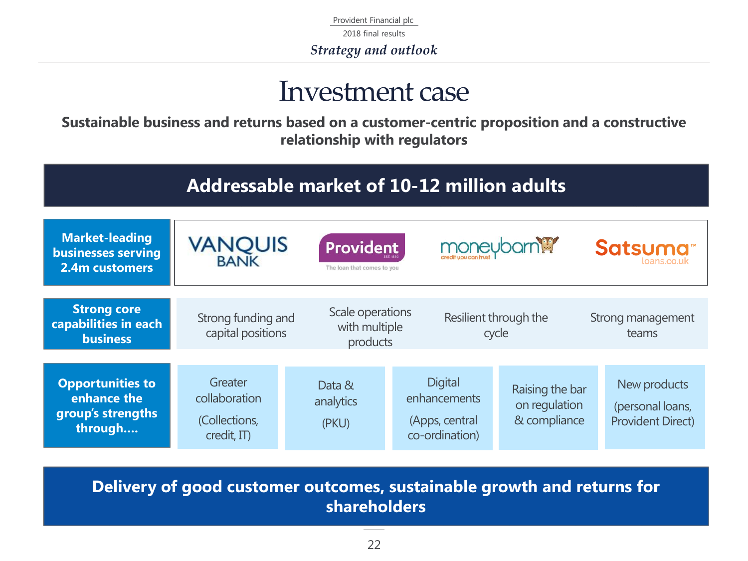Provident Financial plc 2018 final results *Strategy and outlook*

### Investment case

**Sustainable business and returns based on a customer-centric proposition and a constructive relationship with regulators**

#### **Addressable market of 10-12 million adults Market-leading VANQUIS**<br>BANK moneybornM **Provident** Satsuma<sup>®</sup> **businesses serving 2.4m customers** The loan that comes to you **Strong core**  Scale operations Resilient through the Strong funding and Strong management **capabilities in each**  with multiple capital positions cycle teams **business** products **Opportunities to Greater Digital** New products

| <b>Opportunities to</b><br>enhance the<br>group's strengths<br>through | Greater<br>collaboration<br>(Collections,<br>$\alpha$ credit, IT) | Data &<br>analytics<br>(PKU) | Digital<br>enhancements<br>(Apps, central<br>co-ordination) | Raising the bar<br>on regulation<br>& compliance | New products<br>(personal loans,<br><b>Provident Direct)</b> |
|------------------------------------------------------------------------|-------------------------------------------------------------------|------------------------------|-------------------------------------------------------------|--------------------------------------------------|--------------------------------------------------------------|
|                                                                        |                                                                   |                              |                                                             |                                                  |                                                              |

**Delivery of good customer outcomes, sustainable growth and returns for shareholders**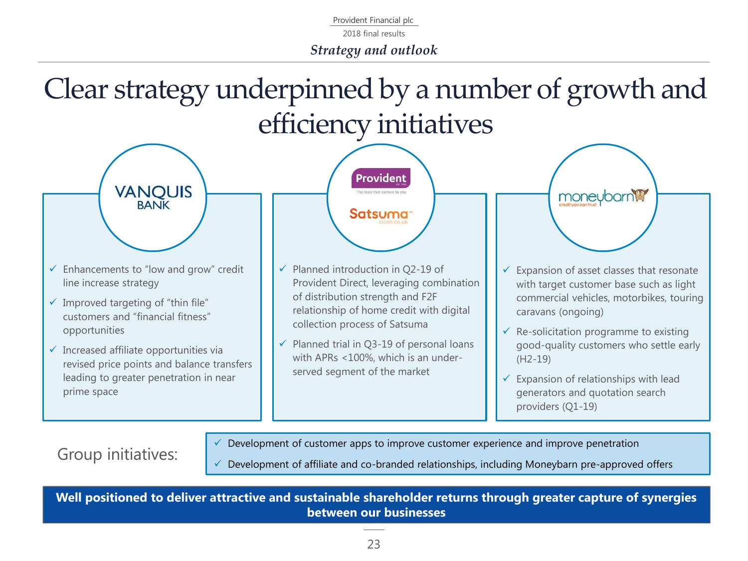Provident Financial plc 2018 final results *Strategy and outlook*

Clear strategy underpinned by a number of growth and efficiency initiatives



Group initiatives:

 $\checkmark$  Development of customer apps to improve customer experience and improve penetration

Development of affiliate and co-branded relationships, including Moneybarn pre-approved offers

**Well positioned to deliver attractive and sustainable shareholder returns through greater capture of synergies between our businesses**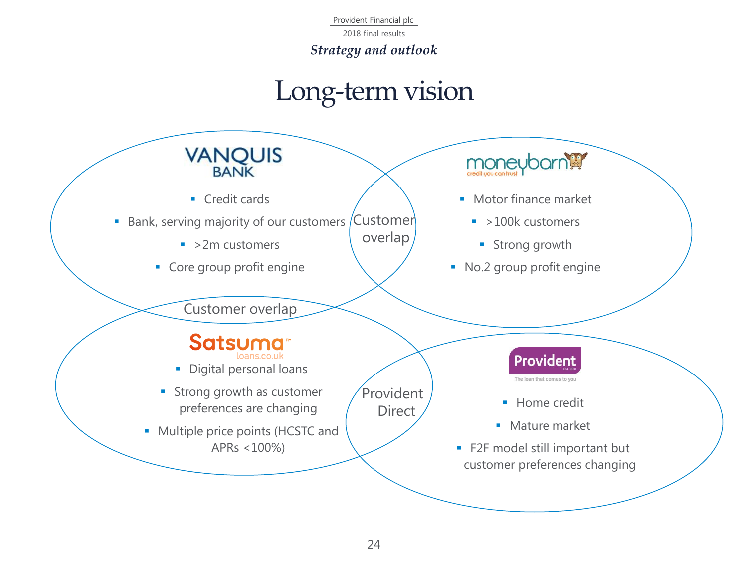2018 final results

*Strategy and outlook*

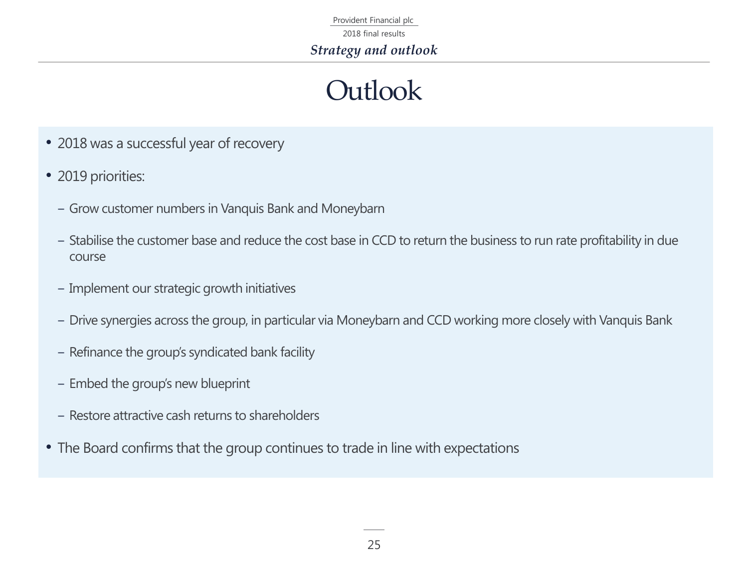Provident Financial plc 2018 final results *Strategy and outlook*

### **Outlook**

- 2018 was a successful year of recovery
- 2019 priorities:
	- ‒ Grow customer numbers in Vanquis Bank and Moneybarn
	- ‒ Stabilise the customer base and reduce the cost base in CCD to return the business to run rate profitability in due course
	- ‒ Implement our strategic growth initiatives
	- ‒ Drive synergies across the group, in particular via Moneybarn and CCD working more closely with Vanquis Bank
	- Refinance the group's syndicated bank facility
	- Embed the group's new blueprint
	- ‒ Restore attractive cash returns to shareholders
- The Board confirms that the group continues to trade in line with expectations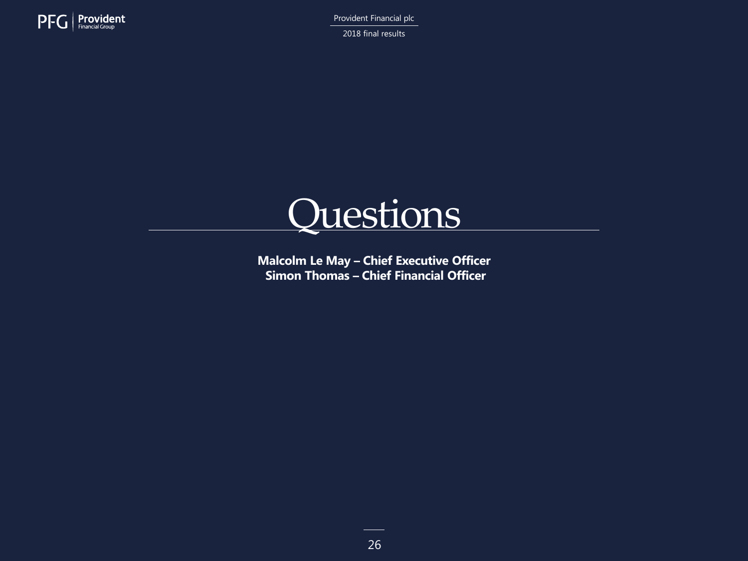

2018 final results



**Malcolm Le May – Chief Executive Officer Simon Thomas – Chief Financial Officer**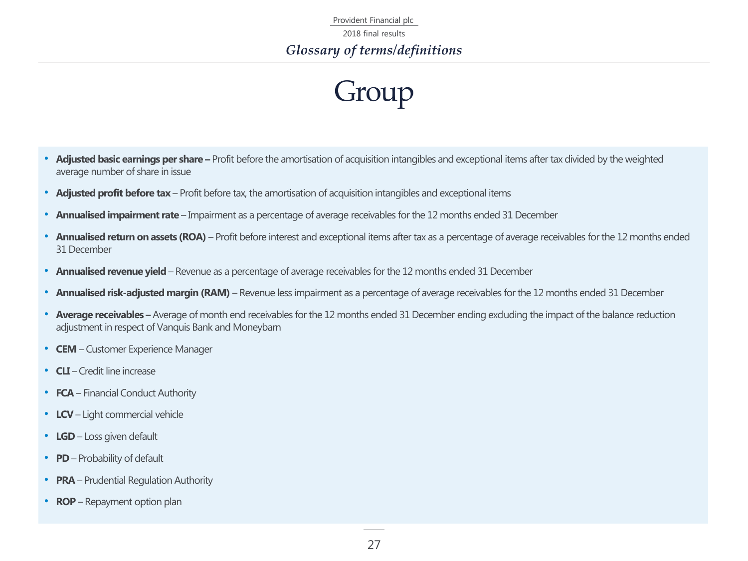## Group

- **Adjusted basic earnings per share –** Profit before the amortisation of acquisition intangibles and exceptional items after tax divided by the weighted average number of share in issue
- **Adjusted profit before tax**  Profit before tax, the amortisation of acquisition intangibles and exceptional items
- **Annualised impairment rate**  Impairment as a percentage of average receivables for the 12 months ended 31 December
- **Annualised return on assets (ROA)** Profit before interest and exceptional items after tax as a percentage of average receivables for the 12 months ended 31 December
- **Annualised revenue yield**  Revenue as a percentage of average receivables for the 12 months ended 31 December
- **Annualised risk-adjusted margin (RAM)**  Revenue less impairment as a percentage of average receivables for the 12 months ended 31 December
- **Average receivables –** Average of month end receivables for the 12 months ended 31 December ending excluding the impact of the balance reduction adjustment in respect of Vanquis Bank and Moneybarn
- **CEM**  Customer Experience Manager
- **CLI**  Credit line increase
- **FCA** Financial Conduct Authority
- **LCV**  Light commercial vehicle
- **LGD** Loss given default
- **PD** Probability of default
- **PRA** Prudential Regulation Authority
- **ROP** Repayment option plan